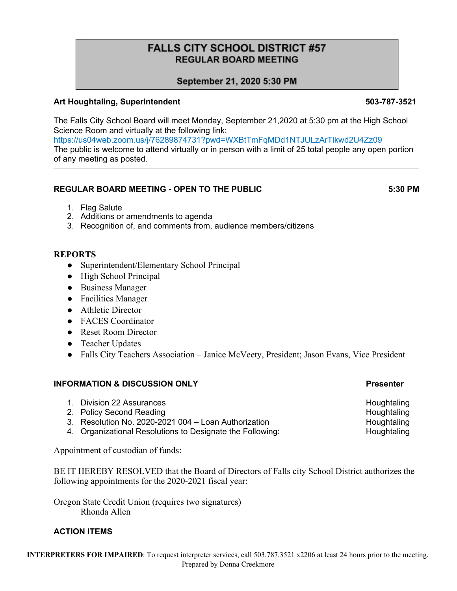# **FALLS CITY SCHOOL DISTRICT #57 REGULAR BOARD MEETING**

# September 21, 2020 5:30 PM

### **Art Houghtaling, Superintendent 503-787-3521**

The Falls City School Board will meet Monday, September 21,2020 at 5:30 pm at the High School Science Room and virtually at the following link:

https://us04web.zoom.us/j/76289874731?pwd=WXBtTmFqMDd1NTJULzArTlkwd2U4Zz09 The public is welcome to attend virtually or in person with a limit of 25 total people any open portion of any meeting as posted.

### **REGULAR BOARD MEETING - OPEN TO THE PUBLIC 5:30 PM**

1. Flag Salute

\*

- 2. Additions or amendments to agenda
- 3. Recognition of, and comments from, audience members/citizens

# **REPORTS**

- Superintendent/Elementary School Principal
- High School Principal
- Business Manager
- Facilities Manager
- Athletic Director
- FACES Coordinator
- Reset Room Director
- Teacher Updates
- Falls City Teachers Association Janice McVeety, President; Jason Evans, Vice President

# **INFORMATION & DISCUSSION ONLY Presenter**

| 1. Division 22 Assurances                                 | Houghtaling |
|-----------------------------------------------------------|-------------|
| 2. Policy Second Reading                                  | Houghtaling |
| 3. Resolution No. 2020-2021 004 - Loan Authorization      | Houghtaling |
| 4. Organizational Resolutions to Designate the Following: | Houghtaling |

Appointment of custodian of funds:

BE IT HEREBY RESOLVED that the Board of Directors of Falls city School District authorizes the following appointments for the 2020-2021 fiscal year:

Oregon State Credit Union (requires two signatures) Rhonda Allen

# **ACTION ITEMS**